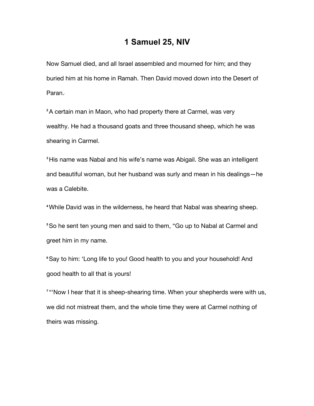## **1 Samuel 25, NIV**

Now Samuel died, and all Israel assembled and mourned for him; and they buried him at his home in Ramah. Then David moved down into the Desert of Paran.

**<sup>2</sup>**A certain man in Maon, who had property there at Carmel, was very wealthy. He had a thousand goats and three thousand sheep, which he was shearing in Carmel.

**<sup>3</sup>**His name was Nabal and his wife's name was Abigail. She was an intelligent and beautiful woman, but her husband was surly and mean in his dealings—he was a Calebite.

**<sup>4</sup>**While David was in the wilderness, he heard that Nabal was shearing sheep.

**<sup>5</sup>**So he sent ten young men and said to them, "Go up to Nabal at Carmel and greet him in my name.

**<sup>6</sup>**Say to him: 'Long life to you! Good health to you and your household! And good health to all that is yours!

<sup>7</sup> "Now I hear that it is sheep-shearing time. When your shepherds were with us, we did not mistreat them, and the whole time they were at Carmel nothing of theirs was missing.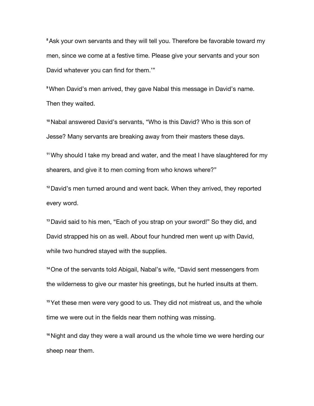**<sup>8</sup>**Ask your own servants and they will tell you. Therefore be favorable toward my men, since we come at a festive time. Please give your servants and your son David whatever you can find for them.'"

**<sup>9</sup>**When David's men arrived, they gave Nabal this message in David's name. Then they waited.

**<sup>10</sup>**Nabal answered David's servants, "Who is this David? Who is this son of Jesse? Many servants are breaking away from their masters these days.

**<sup>11</sup>**Why should I take my bread and water, and the meat I have slaughtered for my shearers, and give it to men coming from who knows where?"

**<sup>12</sup>**David's men turned around and went back. When they arrived, they reported every word.

**<sup>13</sup>**David said to his men, "Each of you strap on your sword!" So they did, and David strapped his on as well. About four hundred men went up with David, while two hundred stayed with the supplies.

**<sup>14</sup>**One of the servants told Abigail, Nabal's wife, "David sent messengers from the wilderness to give our master his greetings, but he hurled insults at them.

**<sup>15</sup>**Yet these men were very good to us. They did not mistreat us, and the whole time we were out in the fields near them nothing was missing.

**<sup>16</sup>**Night and day they were a wall around us the whole time we were herding our sheep near them.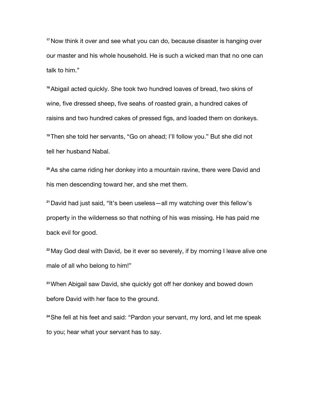**<sup>17</sup>**Now think it over and see what you can do, because disaster is hanging over our master and his whole household. He is such a wicked man that no one can talk to him."

**<sup>18</sup>**Abigail acted quickly. She took two hundred loaves of bread, two skins of wine, five dressed sheep, five seahs of roasted grain, a hundred cakes of raisins and two hundred cakes of pressed figs, and loaded them on donkeys.

**<sup>19</sup>**Then she told her servants, "Go on ahead; I'll follow you." But she did not tell her husband Nabal.

**<sup>20</sup>**As she came riding her donkey into a mountain ravine, there were David and his men descending toward her, and she met them.

**<sup>21</sup>**David had just said, "It's been useless—all my watching over this fellow's property in the wilderness so that nothing of his was missing. He has paid me back evil for good.

<sup>22</sup> May God deal with David, be it ever so severely, if by morning I leave alive one male of all who belong to him!"

**<sup>23</sup>**When Abigail saw David, she quickly got off her donkey and bowed down before David with her face to the ground.

**<sup>24</sup>**She fell at his feet and said: "Pardon your servant, my lord, and let me speak to you; hear what your servant has to say.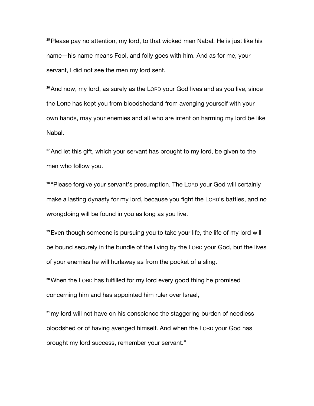**<sup>25</sup>**Please pay no attention, my lord, to that wicked man Nabal. He is just like his name—his name means Fool, and folly goes with him. And as for me, your servant, I did not see the men my lord sent.

**<sup>26</sup>**And now, my lord, as surely as the LORD your God lives and as you live, since the LORD has kept you from bloodshedand from avenging yourself with your own hands, may your enemies and all who are intent on harming my lord be like Nabal.

**<sup>27</sup>**And let this gift, which your servant has brought to my lord, be given to the men who follow you.

**<sup>28</sup>** "Please forgive your servant's presumption. The LORD your God will certainly make a lasting dynasty for my lord, because you fight the LORD's battles, and no wrongdoing will be found in you as long as you live.

**<sup>29</sup>**Even though someone is pursuing you to take your life, the life of my lord will be bound securely in the bundle of the living by the LORD your God, but the lives of your enemies he will hurlaway as from the pocket of a sling.

**<sup>30</sup>**When the LORD has fulfilled for my lord every good thing he promised concerning him and has appointed him ruler over Israel,

**<sup>31</sup>**my lord will not have on his conscience the staggering burden of needless bloodshed or of having avenged himself. And when the LORD your God has brought my lord success, remember your servant."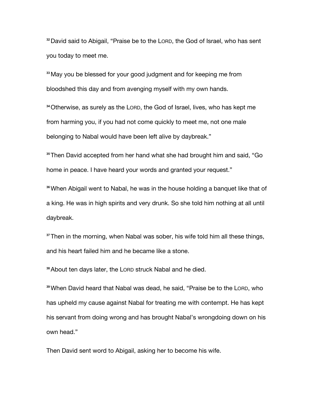**<sup>32</sup>**David said to Abigail, "Praise be to the LORD, the God of Israel, who has sent you today to meet me.

**<sup>33</sup>**May you be blessed for your good judgment and for keeping me from bloodshed this day and from avenging myself with my own hands.

**<sup>34</sup>**Otherwise, as surely as the LORD, the God of Israel, lives, who has kept me from harming you, if you had not come quickly to meet me, not one male belonging to Nabal would have been left alive by daybreak."

**<sup>35</sup>**Then David accepted from her hand what she had brought him and said, "Go home in peace. I have heard your words and granted your request."

**<sup>36</sup>**When Abigail went to Nabal, he was in the house holding a banquet like that of a king. He was in high spirits and very drunk. So she told him nothing at all until daybreak.

**<sup>37</sup>**Then in the morning, when Nabal was sober, his wife told him all these things, and his heart failed him and he became like a stone.

**<sup>38</sup>**About ten days later, the LORD struck Nabal and he died.

**<sup>39</sup>**When David heard that Nabal was dead, he said, "Praise be to the LORD, who has upheld my cause against Nabal for treating me with contempt. He has kept his servant from doing wrong and has brought Nabal's wrongdoing down on his own head."

Then David sent word to Abigail, asking her to become his wife.